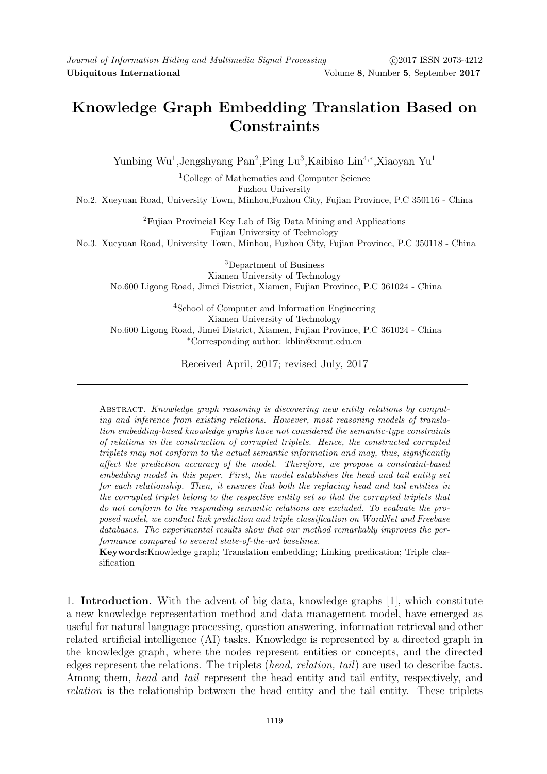## Knowledge Graph Embedding Translation Based on **Constraints**

Yunbing Wu<sup>1</sup>, Jengshyang Pan<sup>2</sup>, Ping Lu<sup>3</sup>, Kaibiao Lin<sup>4,∗</sup>, Xiaoyan Yu<sup>1</sup>

<sup>1</sup>College of Mathematics and Computer Science Fuzhou University

No.2. Xueyuan Road, University Town, Minhou,Fuzhou City, Fujian Province, P.C 350116 - China

<sup>2</sup>Fujian Provincial Key Lab of Big Data Mining and Applications Fujian University of Technology

No.3. Xueyuan Road, University Town, Minhou, Fuzhou City, Fujian Province, P.C 350118 - China

<sup>3</sup>Department of Business Xiamen University of Technology No.600 Ligong Road, Jimei District, Xiamen, Fujian Province, P.C 361024 - China

<sup>4</sup>School of Computer and Information Engineering Xiamen University of Technology No.600 Ligong Road, Jimei District, Xiamen, Fujian Province, P.C 361024 - China <sup>∗</sup>Corresponding author: kblin@xmut.edu.cn

Received April, 2017; revised July, 2017

Abstract. Knowledge graph reasoning is discovering new entity relations by computing and inference from existing relations. However, most reasoning models of translation embedding-based knowledge graphs have not considered the semantic-type constraints of relations in the construction of corrupted triplets. Hence, the constructed corrupted triplets may not conform to the actual semantic information and may, thus, significantly affect the prediction accuracy of the model. Therefore, we propose a constraint-based embedding model in this paper. First, the model establishes the head and tail entity set for each relationship. Then, it ensures that both the replacing head and tail entities in the corrupted triplet belong to the respective entity set so that the corrupted triplets that do not conform to the responding semantic relations are excluded. To evaluate the proposed model, we conduct link prediction and triple classification on WordNet and Freebase databases. The experimental results show that our method remarkably improves the performance compared to several state-of-the-art baselines.

Keywords:Knowledge graph; Translation embedding; Linking predication; Triple classification

1. Introduction. With the advent of big data, knowledge graphs [1], which constitute a new knowledge representation method and data management model, have emerged as useful for natural language processing, question answering, information retrieval and other related artificial intelligence (AI) tasks. Knowledge is represented by a directed graph in the knowledge graph, where the nodes represent entities or concepts, and the directed edges represent the relations. The triplets (head, relation, tail) are used to describe facts. Among them, head and tail represent the head entity and tail entity, respectively, and relation is the relationship between the head entity and the tail entity. These triplets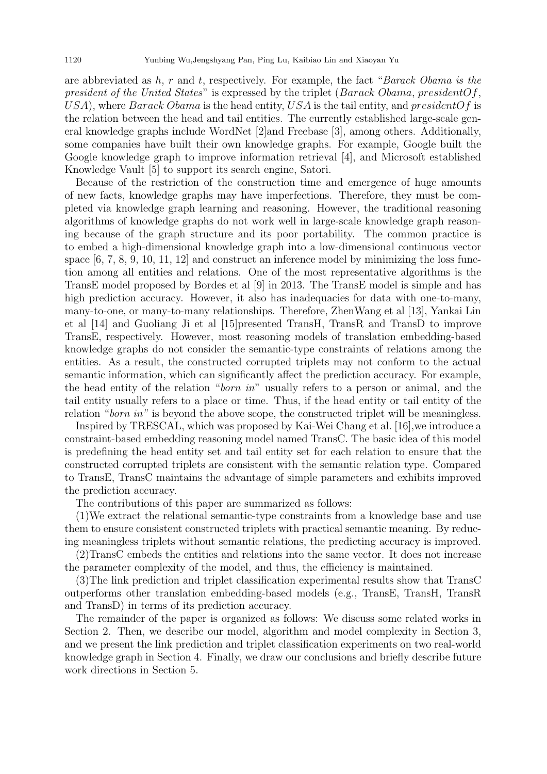are abbreviated as  $h, r$  and  $t$ , respectively. For example, the fact "Barack Obama is the president of the United States" is expressed by the triplet (Barack Obama, president  $Of$ , USA), where Barack Obama is the head entity, USA is the tail entity, and president Of is the relation between the head and tail entities. The currently established large-scale general knowledge graphs include WordNet [2]and Freebase [3], among others. Additionally, some companies have built their own knowledge graphs. For example, Google built the Google knowledge graph to improve information retrieval [4], and Microsoft established Knowledge Vault [5] to support its search engine, Satori.

Because of the restriction of the construction time and emergence of huge amounts of new facts, knowledge graphs may have imperfections. Therefore, they must be completed via knowledge graph learning and reasoning. However, the traditional reasoning algorithms of knowledge graphs do not work well in large-scale knowledge graph reasoning because of the graph structure and its poor portability. The common practice is to embed a high-dimensional knowledge graph into a low-dimensional continuous vector space  $[6, 7, 8, 9, 10, 11, 12]$  and construct an inference model by minimizing the loss function among all entities and relations. One of the most representative algorithms is the TransE model proposed by Bordes et al [9] in 2013. The TransE model is simple and has high prediction accuracy. However, it also has inadequacies for data with one-to-many, many-to-one, or many-to-many relationships. Therefore, ZhenWang et al [13], Yankai Lin et al [14] and Guoliang Ji et al [15]presented TransH, TransR and TransD to improve TransE, respectively. However, most reasoning models of translation embedding-based knowledge graphs do not consider the semantic-type constraints of relations among the entities. As a result, the constructed corrupted triplets may not conform to the actual semantic information, which can significantly affect the prediction accuracy. For example, the head entity of the relation "born in" usually refers to a person or animal, and the tail entity usually refers to a place or time. Thus, if the head entity or tail entity of the relation "*born in*" is beyond the above scope, the constructed triplet will be meaningless.

Inspired by TRESCAL, which was proposed by Kai-Wei Chang et al. [16],we introduce a constraint-based embedding reasoning model named TransC. The basic idea of this model is predefining the head entity set and tail entity set for each relation to ensure that the constructed corrupted triplets are consistent with the semantic relation type. Compared to TransE, TransC maintains the advantage of simple parameters and exhibits improved the prediction accuracy.

The contributions of this paper are summarized as follows:

(1)We extract the relational semantic-type constraints from a knowledge base and use them to ensure consistent constructed triplets with practical semantic meaning. By reducing meaningless triplets without semantic relations, the predicting accuracy is improved.

(2)TransC embeds the entities and relations into the same vector. It does not increase the parameter complexity of the model, and thus, the efficiency is maintained.

(3)The link prediction and triplet classification experimental results show that TransC outperforms other translation embedding-based models (e.g., TransE, TransH, TransR and TransD) in terms of its prediction accuracy.

The remainder of the paper is organized as follows: We discuss some related works in Section 2. Then, we describe our model, algorithm and model complexity in Section 3, and we present the link prediction and triplet classification experiments on two real-world knowledge graph in Section 4. Finally, we draw our conclusions and briefly describe future work directions in Section 5.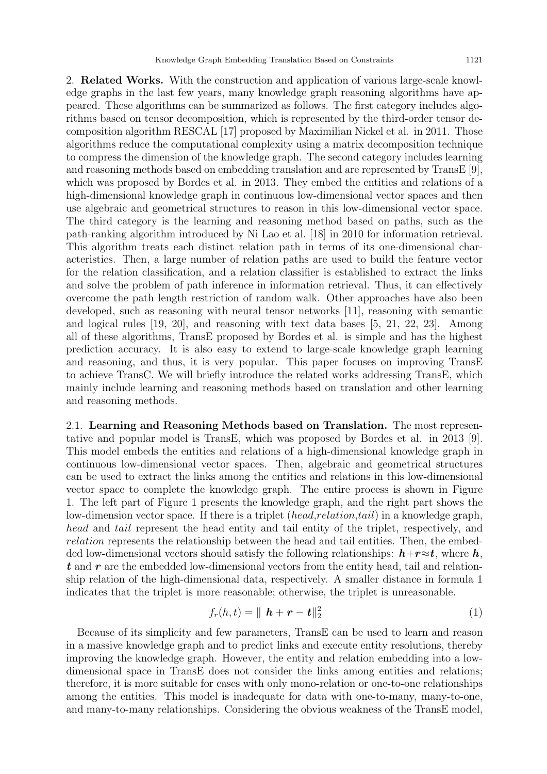2. Related Works. With the construction and application of various large-scale knowledge graphs in the last few years, many knowledge graph reasoning algorithms have appeared. These algorithms can be summarized as follows. The first category includes algorithms based on tensor decomposition, which is represented by the third-order tensor decomposition algorithm RESCAL [17] proposed by Maximilian Nickel et al. in 2011. Those algorithms reduce the computational complexity using a matrix decomposition technique to compress the dimension of the knowledge graph. The second category includes learning and reasoning methods based on embedding translation and are represented by TransE [9], which was proposed by Bordes et al. in 2013. They embed the entities and relations of a high-dimensional knowledge graph in continuous low-dimensional vector spaces and then use algebraic and geometrical structures to reason in this low-dimensional vector space. The third category is the learning and reasoning method based on paths, such as the path-ranking algorithm introduced by Ni Lao et al. [18] in 2010 for information retrieval. This algorithm treats each distinct relation path in terms of its one-dimensional characteristics. Then, a large number of relation paths are used to build the feature vector for the relation classification, and a relation classifier is established to extract the links and solve the problem of path inference in information retrieval. Thus, it can effectively overcome the path length restriction of random walk. Other approaches have also been developed, such as reasoning with neural tensor networks [11], reasoning with semantic and logical rules [19, 20], and reasoning with text data bases [5, 21, 22, 23]. Among all of these algorithms, TransE proposed by Bordes et al. is simple and has the highest prediction accuracy. It is also easy to extend to large-scale knowledge graph learning and reasoning, and thus, it is very popular. This paper focuses on improving TransE to achieve TransC. We will briefly introduce the related works addressing TransE, which mainly include learning and reasoning methods based on translation and other learning and reasoning methods.

2.1. Learning and Reasoning Methods based on Translation. The most representative and popular model is TransE, which was proposed by Bordes et al. in 2013 [9]. This model embeds the entities and relations of a high-dimensional knowledge graph in continuous low-dimensional vector spaces. Then, algebraic and geometrical structures can be used to extract the links among the entities and relations in this low-dimensional vector space to complete the knowledge graph. The entire process is shown in Figure 1. The left part of Figure 1 presents the knowledge graph, and the right part shows the low-dimension vector space. If there is a triplet (*head,relation,tail*) in a knowledge graph, head and tail represent the head entity and tail entity of the triplet, respectively, and relation represents the relationship between the head and tail entities. Then, the embedded low-dimensional vectors should satisfy the following relationships:  $h+r\approx t$ , where h,  $t$  and  $r$  are the embedded low-dimensional vectors from the entity head, tail and relationship relation of the high-dimensional data, respectively. A smaller distance in formula 1 indicates that the triplet is more reasonable; otherwise, the triplet is unreasonable.

$$
f_r(h,t) = \parallel \boldsymbol{h} + \boldsymbol{r} - \boldsymbol{t} \parallel_2^2 \tag{1}
$$

Because of its simplicity and few parameters, TransE can be used to learn and reason in a massive knowledge graph and to predict links and execute entity resolutions, thereby improving the knowledge graph. However, the entity and relation embedding into a lowdimensional space in TransE does not consider the links among entities and relations; therefore, it is more suitable for cases with only mono-relation or one-to-one relationships among the entities. This model is inadequate for data with one-to-many, many-to-one, and many-to-many relationships. Considering the obvious weakness of the TransE model,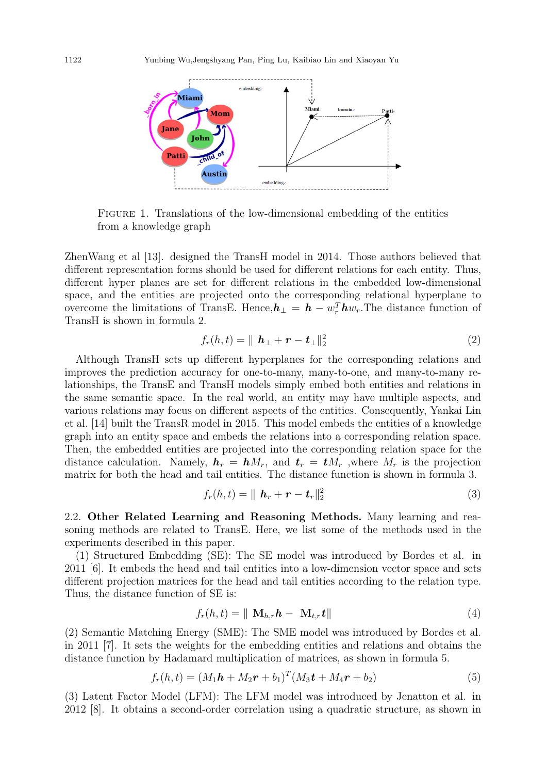

FIGURE 1. Translations of the low-dimensional embedding of the entities from a knowledge graph

ZhenWang et al [13]. designed the TransH model in 2014. Those authors believed that different representation forms should be used for different relations for each entity. Thus, different hyper planes are set for different relations in the embedded low-dimensional space, and the entities are projected onto the corresponding relational hyperplane to overcome the limitations of TransE. Hence, $h_{\perp} = h - w_r^T h w_r$ . The distance function of TransH is shown in formula 2.

$$
f_r(h,t) = || \boldsymbol{h}_\perp + \boldsymbol{r} - \boldsymbol{t}_\perp ||_2^2
$$
 (2)

Although TransH sets up different hyperplanes for the corresponding relations and improves the prediction accuracy for one-to-many, many-to-one, and many-to-many relationships, the TransE and TransH models simply embed both entities and relations in the same semantic space. In the real world, an entity may have multiple aspects, and various relations may focus on different aspects of the entities. Consequently, Yankai Lin et al. [14] built the TransR model in 2015. This model embeds the entities of a knowledge graph into an entity space and embeds the relations into a corresponding relation space. Then, the embedded entities are projected into the corresponding relation space for the distance calculation. Namely,  $h_r = h M_r$ , and  $t_r = t M_r$ , where  $M_r$  is the projection matrix for both the head and tail entities. The distance function is shown in formula 3.

$$
f_r(h,t) = \parallel \boldsymbol{h}_r + \boldsymbol{r} - \boldsymbol{t}_r \parallel_2^2 \tag{3}
$$

2.2. Other Related Learning and Reasoning Methods. Many learning and reasoning methods are related to TransE. Here, we list some of the methods used in the experiments described in this paper.

(1) Structured Embedding (SE): The SE model was introduced by Bordes et al. in 2011 [6]. It embeds the head and tail entities into a low-dimension vector space and sets different projection matrices for the head and tail entities according to the relation type. Thus, the distance function of SE is:

$$
f_r(h,t) = \|\mathbf{M}_{h,r}\boldsymbol{h} - \mathbf{M}_{t,r}\boldsymbol{t}\| \tag{4}
$$

(2) Semantic Matching Energy (SME): The SME model was introduced by Bordes et al. in 2011 [7]. It sets the weights for the embedding entities and relations and obtains the distance function by Hadamard multiplication of matrices, as shown in formula 5.

$$
f_r(h,t) = (M_1\mathbf{h} + M_2\mathbf{r} + b_1)^T (M_3\mathbf{t} + M_4\mathbf{r} + b_2)
$$
\n(5)

(3) Latent Factor Model (LFM): The LFM model was introduced by Jenatton et al. in 2012 [8]. It obtains a second-order correlation using a quadratic structure, as shown in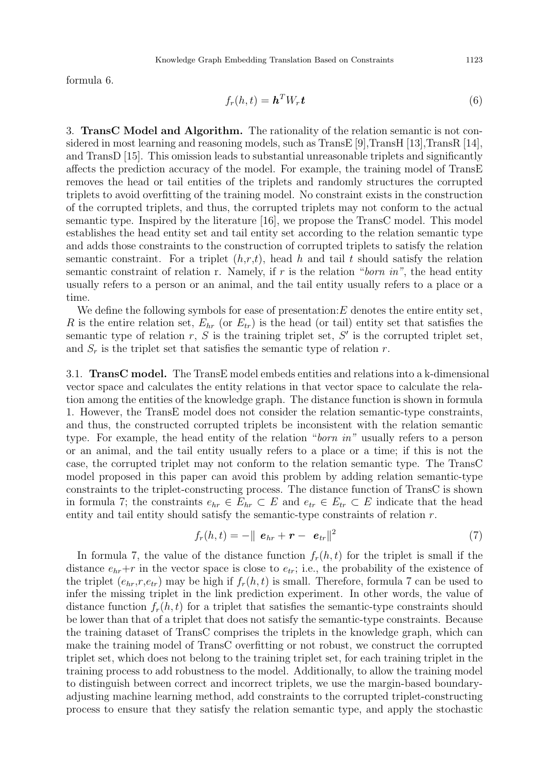formula 6.

$$
f_r(h,t) = \mathbf{h}^T W_r \mathbf{t} \tag{6}
$$

3. TransC Model and Algorithm. The rationality of the relation semantic is not considered in most learning and reasoning models, such as  $\text{TransE}$  [9],  $\text{TransH}$  [13],  $\text{TransR}$  [14], and TransD [15]. This omission leads to substantial unreasonable triplets and significantly affects the prediction accuracy of the model. For example, the training model of TransE removes the head or tail entities of the triplets and randomly structures the corrupted triplets to avoid overfitting of the training model. No constraint exists in the construction of the corrupted triplets, and thus, the corrupted triplets may not conform to the actual semantic type. Inspired by the literature [16], we propose the TransC model. This model establishes the head entity set and tail entity set according to the relation semantic type and adds those constraints to the construction of corrupted triplets to satisfy the relation semantic constraint. For a triplet  $(h,r,t)$ , head h and tail t should satisfy the relation semantic constraint of relation r. Namely, if  $r$  is the relation "born in", the head entity usually refers to a person or an animal, and the tail entity usually refers to a place or a time.

We define the following symbols for ease of presentation:  $E$  denotes the entire entity set, R is the entire relation set,  $E_{hr}$  (or  $E_{tr}$ ) is the head (or tail) entity set that satisfies the semantic type of relation  $r, S$  is the training triplet set,  $S'$  is the corrupted triplet set, and  $S_r$  is the triplet set that satisfies the semantic type of relation r.

3.1. TransC model. The TransE model embeds entities and relations into a k-dimensional vector space and calculates the entity relations in that vector space to calculate the relation among the entities of the knowledge graph. The distance function is shown in formula 1. However, the TransE model does not consider the relation semantic-type constraints, and thus, the constructed corrupted triplets be inconsistent with the relation semantic type. For example, the head entity of the relation "born in" usually refers to a person or an animal, and the tail entity usually refers to a place or a time; if this is not the case, the corrupted triplet may not conform to the relation semantic type. The TransC model proposed in this paper can avoid this problem by adding relation semantic-type constraints to the triplet-constructing process. The distance function of TransC is shown in formula 7; the constraints  $e_{hr} \in E_{hr} \subset E$  and  $e_{tr} \in E_{tr} \subset E$  indicate that the head entity and tail entity should satisfy the semantic-type constraints of relation r.

$$
f_r(h,t) = -\Vert \boldsymbol{e}_{hr} + \boldsymbol{r} - \boldsymbol{e}_{tr} \Vert^2 \tag{7}
$$

In formula 7, the value of the distance function  $f_r(h, t)$  for the triplet is small if the distance  $e_{hr}+r$  in the vector space is close to  $e_{tr}$ ; i.e., the probability of the existence of the triplet  $(e_{hr},r,e_{tr})$  may be high if  $f_r(h,t)$  is small. Therefore, formula 7 can be used to infer the missing triplet in the link prediction experiment. In other words, the value of distance function  $f_r(h, t)$  for a triplet that satisfies the semantic-type constraints should be lower than that of a triplet that does not satisfy the semantic-type constraints. Because the training dataset of TransC comprises the triplets in the knowledge graph, which can make the training model of TransC overfitting or not robust, we construct the corrupted triplet set, which does not belong to the training triplet set, for each training triplet in the training process to add robustness to the model. Additionally, to allow the training model to distinguish between correct and incorrect triplets, we use the margin-based boundaryadjusting machine learning method, add constraints to the corrupted triplet-constructing process to ensure that they satisfy the relation semantic type, and apply the stochastic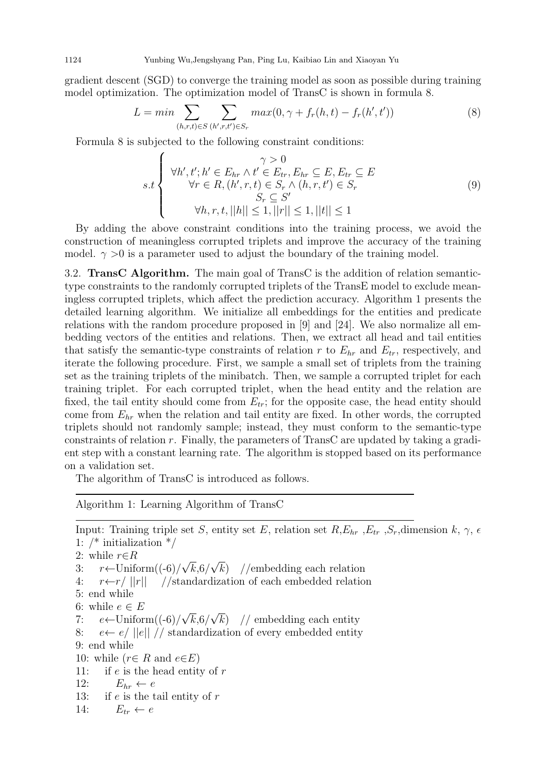gradient descent (SGD) to converge the training model as soon as possible during training model optimization. The optimization model of TransC is shown in formula 8.

$$
L = \min \sum_{(h,r,t) \in S} \sum_{(h',r,t') \in S_r} \max(0, \gamma + f_r(h,t) - f_r(h',t')) \tag{8}
$$

Formula 8 is subjected to the following constraint conditions:

$$
s.t \begin{cases} \gamma > 0\\ \forall h', t'; h' \in E_{hr} \land t' \in E_{tr}, E_{hr} \subseteq E, E_{tr} \subseteq E\\ \forall r \in R, (h', r, t) \in S_r \land (h, r, t') \in S_r\\ S_r \subseteq S'\\ \forall h, r, t, ||h|| \le 1, ||r|| \le 1, ||t|| \le 1 \end{cases}
$$
(9)

By adding the above constraint conditions into the training process, we avoid the construction of meaningless corrupted triplets and improve the accuracy of the training model.  $\gamma > 0$  is a parameter used to adjust the boundary of the training model.

3.2. TransC Algorithm. The main goal of TransC is the addition of relation semantictype constraints to the randomly corrupted triplets of the TransE model to exclude meaningless corrupted triplets, which affect the prediction accuracy. Algorithm 1 presents the detailed learning algorithm. We initialize all embeddings for the entities and predicate relations with the random procedure proposed in [9] and [24]. We also normalize all embedding vectors of the entities and relations. Then, we extract all head and tail entities that satisfy the semantic-type constraints of relation r to  $E_{hr}$  and  $E_{tr}$ , respectively, and iterate the following procedure. First, we sample a small set of triplets from the training set as the training triplets of the minibatch. Then, we sample a corrupted triplet for each training triplet. For each corrupted triplet, when the head entity and the relation are fixed, the tail entity should come from  $E_{tr}$ ; for the opposite case, the head entity should come from  $E_{hr}$  when the relation and tail entity are fixed. In other words, the corrupted triplets should not randomly sample; instead, they must conform to the semantic-type constraints of relation r. Finally, the parameters of TransC are updated by taking a gradient step with a constant learning rate. The algorithm is stopped based on its performance on a validation set.

The algorithm of TransC is introduced as follows.

Algorithm 1: Learning Algorithm of TransC

Input: Training triple set S, entity set E, relation set R, $E_{hr}$ ,  $E_{tr}$ ,  $S_r$ , dimension k,  $\gamma$ ,  $\epsilon$ 1: /\* initialization \*/ 2: while  $r \in R$ 2: wnile  $r ∈ R$ <br>3:  $r ← \text{Uniform}((-6)/\sqrt{k}, 6/\sqrt{k})$  //embedding each relation 4:  $r \leftarrow r / ||r||$  //standardization of each embedded relation 5: end while 6: while  $e \in E$ 6: while  $e \in E$ <br>7:  $e \leftarrow \text{Uniform}((-6)/\sqrt{k}, 6/\sqrt{k})$  // embedding each entity 8:  $e \leftarrow e / ||e|| / \rho$  standardization of every embedded entity 9: end while 10: while ( $r \in R$  and  $e \in E$ ) 11: if  $e$  is the head entity of  $r$ 12:  $E_{hr} \leftarrow e$ 13: if  $e$  is the tail entity of  $r$ 14:  $E_{tr} \leftarrow e$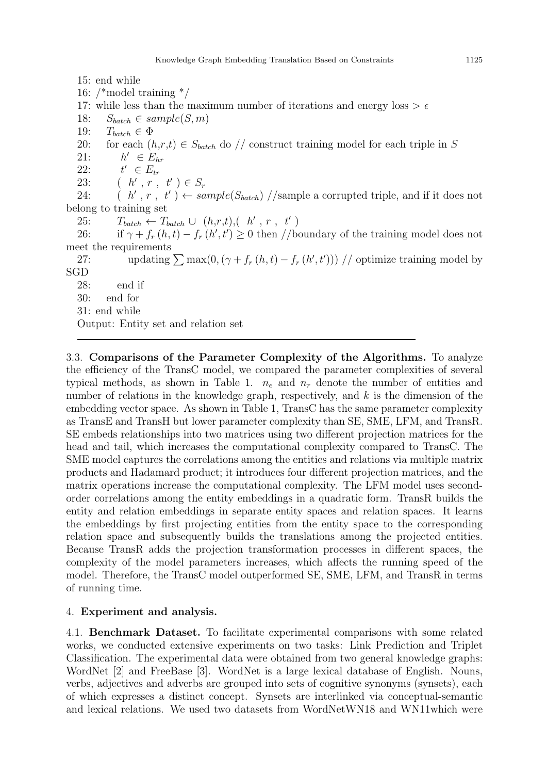15: end while

16: /\*model training \*/ 17: while less than the maximum number of iterations and energy loss  $> \epsilon$ 18:  $S_{batch} \in sample(S, m)$ 19:  $T_{batch} \in \Phi$ 20: for each  $(h,r,t) \in S_{batch}$  do // construct training model for each triple in S  $21:$  $h' \in E_{hr}$  $22:$  $t' \in E_{tr}$ 23:  $(h', r, t') \in S_r$ 24:  $(h', r, t') \leftarrow sample(S_{batch}) // sample \text{ a corrupted triple, and if it does not.}$ belong to training set 25:  $T_{batch} \leftarrow T_{batch} \cup (h,r,t), (h',r, t')$ 26: if  $\gamma + f_r(h, t) - f_r(h', t') \ge 0$  then //boundary of the training model does not meet the requirements 27: updating  $\sum \max(0, (\gamma + f_r(h, t) - f_r(h', t')))$  // optimize training model by SGD 28: end if 30: end for 31: end while Output: Entity set and relation set

3.3. Comparisons of the Parameter Complexity of the Algorithms. To analyze the efficiency of the TransC model, we compared the parameter complexities of several typical methods, as shown in Table 1.  $n_e$  and  $n_r$  denote the number of entities and number of relations in the knowledge graph, respectively, and  $k$  is the dimension of the embedding vector space. As shown in Table 1, TransC has the same parameter complexity as TransE and TransH but lower parameter complexity than SE, SME, LFM, and TransR. SE embeds relationships into two matrices using two different projection matrices for the head and tail, which increases the computational complexity compared to TransC. The SME model captures the correlations among the entities and relations via multiple matrix products and Hadamard product; it introduces four different projection matrices, and the matrix operations increase the computational complexity. The LFM model uses secondorder correlations among the entity embeddings in a quadratic form. TransR builds the entity and relation embeddings in separate entity spaces and relation spaces. It learns the embeddings by first projecting entities from the entity space to the corresponding relation space and subsequently builds the translations among the projected entities. Because TransR adds the projection transformation processes in different spaces, the complexity of the model parameters increases, which affects the running speed of the model. Therefore, the TransC model outperformed SE, SME, LFM, and TransR in terms of running time.

## 4. Experiment and analysis.

4.1. Benchmark Dataset. To facilitate experimental comparisons with some related works, we conducted extensive experiments on two tasks: Link Prediction and Triplet Classification. The experimental data were obtained from two general knowledge graphs: WordNet [2] and FreeBase [3]. WordNet is a large lexical database of English. Nouns, verbs, adjectives and adverbs are grouped into sets of cognitive synonyms (synsets), each of which expresses a distinct concept. Synsets are interlinked via conceptual-semantic and lexical relations. We used two datasets from WordNetWN18 and WN11which were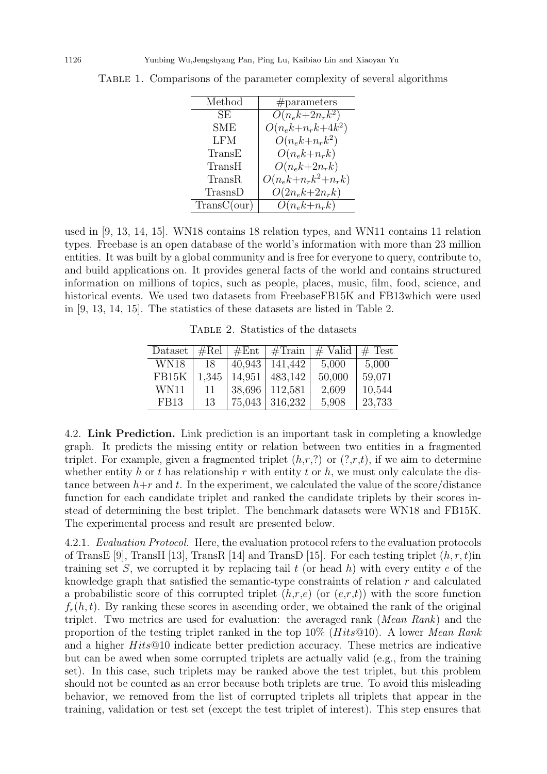| Method      | #parameters             |
|-------------|-------------------------|
| SE          | $O(n_ek+2n_r k^2)$      |
| SME         | $O(n_ek+n_r k + 4k^2)$  |
| <b>LFM</b>  | $O(n_ek + n_r k^2)$     |
| TransE      | $O(n_e k + n_r k)$      |
| TransH      | $O(n_e k + 2n_r k)$     |
| TransR      | $O(n_ek+n_r k^2+n_r k)$ |
| TrasnsD     | $O(2n_e k + 2n_r k)$    |
| TransC(our) | $O(n_e k + n_r k)$      |

Table 1. Comparisons of the parameter complexity of several algorithms

used in [9, 13, 14, 15]. WN18 contains 18 relation types, and WN11 contains 11 relation types. Freebase is an open database of the world's information with more than 23 million entities. It was built by a global community and is free for everyone to query, contribute to, and build applications on. It provides general facts of the world and contains structured information on millions of topics, such as people, places, music, film, food, science, and historical events. We used two datasets from FreebaseFB15K and FB13which were used in [9, 13, 14, 15]. The statistics of these datasets are listed in Table 2.

Table 2. Statistics of the datasets

| Dataset     | #Rel  | #Ent   | #Train  | $#$ Valid | $#$ Test |
|-------------|-------|--------|---------|-----------|----------|
| WN18        | 18    | 40,943 | 141,442 | 5,000     | 5,000    |
| FB15K       | 1,345 | 14,951 | 483,142 | 50,000    | 59,071   |
| WN11        | 11    | 38,696 | 112,581 | 2,609     | 10,544   |
| <b>FB13</b> | 13    | 75,043 | 316,232 | 5,908     | 23,733   |

4.2. Link Prediction. Link prediction is an important task in completing a knowledge graph. It predicts the missing entity or relation between two entities in a fragmented triplet. For example, given a fragmented triplet  $(h,r,?)$  or  $(?,r,t)$ , if we aim to determine whether entity h or t has relationship r with entity t or h, we must only calculate the distance between  $h+r$  and t. In the experiment, we calculated the value of the score/distance function for each candidate triplet and ranked the candidate triplets by their scores instead of determining the best triplet. The benchmark datasets were WN18 and FB15K. The experimental process and result are presented below.

4.2.1. Evaluation Protocol. Here, the evaluation protocol refers to the evaluation protocols of TransE [9], TransH [13], TransR [14] and TransD [15]. For each testing triplet  $(h, r, t)$ in training set S, we corrupted it by replacing tail t (or head h) with every entity e of the knowledge graph that satisfied the semantic-type constraints of relation r and calculated a probabilistic score of this corrupted triplet  $(h,r,e)$  (or  $(e,r,t)$ ) with the score function  $f_r(h, t)$ . By ranking these scores in ascending order, we obtained the rank of the original triplet. Two metrics are used for evaluation: the averaged rank (Mean Rank) and the proportion of the testing triplet ranked in the top  $10\%$  (Hits@10). A lower Mean Rank and a higher Hits@10 indicate better prediction accuracy. These metrics are indicative but can be awed when some corrupted triplets are actually valid (e.g., from the training set). In this case, such triplets may be ranked above the test triplet, but this problem should not be counted as an error because both triplets are true. To avoid this misleading behavior, we removed from the list of corrupted triplets all triplets that appear in the training, validation or test set (except the test triplet of interest). This step ensures that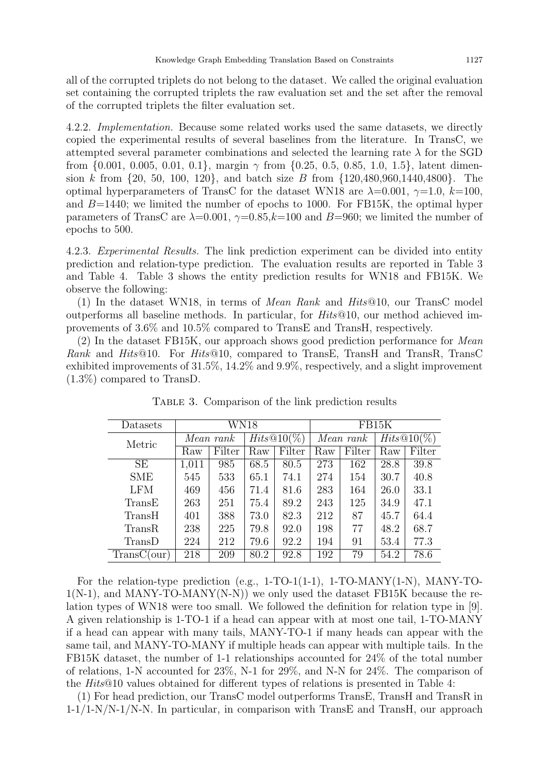all of the corrupted triplets do not belong to the dataset. We called the original evaluation set containing the corrupted triplets the raw evaluation set and the set after the removal of the corrupted triplets the filter evaluation set.

4.2.2. Implementation. Because some related works used the same datasets, we directly copied the experimental results of several baselines from the literature. In TransC, we attempted several parameter combinations and selected the learning rate  $\lambda$  for the SGD from  $\{0.001, 0.005, 0.01, 0.1\}$ , margin  $\gamma$  from  $\{0.25, 0.5, 0.85, 1.0, 1.5\}$ , latent dimension k from  $\{20, 50, 100, 120\}$ , and batch size B from  $\{120, 480, 960, 1440, 4800\}$ . The optimal hyperparameters of TransC for the dataset WN18 are  $\lambda=0.001$ ,  $\gamma=1.0$ ,  $k=100$ , and  $B=1440$ ; we limited the number of epochs to 1000. For FB15K, the optimal hyper parameters of TransC are  $\lambda=0.001$ ,  $\gamma=0.85$ ,  $k=100$  and  $B=960$ ; we limited the number of epochs to 500.

4.2.3. Experimental Results. The link prediction experiment can be divided into entity prediction and relation-type prediction. The evaluation results are reported in Table 3 and Table 4. Table 3 shows the entity prediction results for WN18 and FB15K. We observe the following:

(1) In the dataset WN18, in terms of *Mean Rank* and  $Hits@10$ , our TransC model outperforms all baseline methods. In particular, for Hits@10, our method achieved improvements of 3.6% and 10.5% compared to TransE and TransH, respectively.

(2) In the dataset FB15K, our approach shows good prediction performance for Mean Rank and Hits@10. For Hits@10, compared to TransE, TransH and TransR, TransC exhibited improvements of 31.5%, 14.2% and 9.9%, respectively, and a slight improvement (1.3%) compared to TransD.

| Datasets    | WN18      |        |               | FB15K  |           |        |               |        |
|-------------|-----------|--------|---------------|--------|-----------|--------|---------------|--------|
| Metric      | Mean rank |        | $Hits@10(\%)$ |        | Mean rank |        | $Hits@10(\%)$ |        |
|             | Raw       | Filter | Raw           | Filter | Raw       | Filter | Raw           | Filter |
| SE          | 1,011     | 985    | 68.5          | 80.5   | 273       | 162    | 28.8          | 39.8   |
| <b>SME</b>  | 545       | 533    | 65.1          | 74.1   | 274       | 154    | 30.7          | 40.8   |
| <b>LFM</b>  | 469       | 456    | 71.4          | 81.6   | 283       | 164    | 26.0          | 33.1   |
| TransE      | 263       | 251    | 75.4          | 89.2   | 243       | 125    | 34.9          | 47.1   |
| TransH      | 401       | 388    | 73.0          | 82.3   | 212       | 87     | 45.7          | 64.4   |
| TransR      | 238       | 225    | 79.8          | 92.0   | 198       | 77     | 48.2          | 68.7   |
| TransD      | 224       | 212    | 79.6          | 92.2   | 194       | 91     | 53.4          | 77.3   |
| TransC(our) | 218       | 209    | 80.2          | 92.8   | 192       | 79     | 54.2          | 78.6   |

Table 3. Comparison of the link prediction results

For the relation-type prediction (e.g., 1-TO-1(1-1), 1-TO-MANY(1-N), MANY-TO- $1(N-1)$ , and MANY-TO-MANY(N-N)) we only used the dataset FB15K because the relation types of WN18 were too small. We followed the definition for relation type in [9]. A given relationship is 1-TO-1 if a head can appear with at most one tail, 1-TO-MANY if a head can appear with many tails, MANY-TO-1 if many heads can appear with the same tail, and MANY-TO-MANY if multiple heads can appear with multiple tails. In the FB15K dataset, the number of 1-1 relationships accounted for 24% of the total number of relations, 1-N accounted for 23%, N-1 for 29%, and N-N for 24%. The comparison of the Hits@10 values obtained for different types of relations is presented in Table 4:

(1) For head prediction, our TransC model outperforms TransE, TransH and TransR in 1-1/1-N/N-1/N-N. In particular, in comparison with TransE and TransH, our approach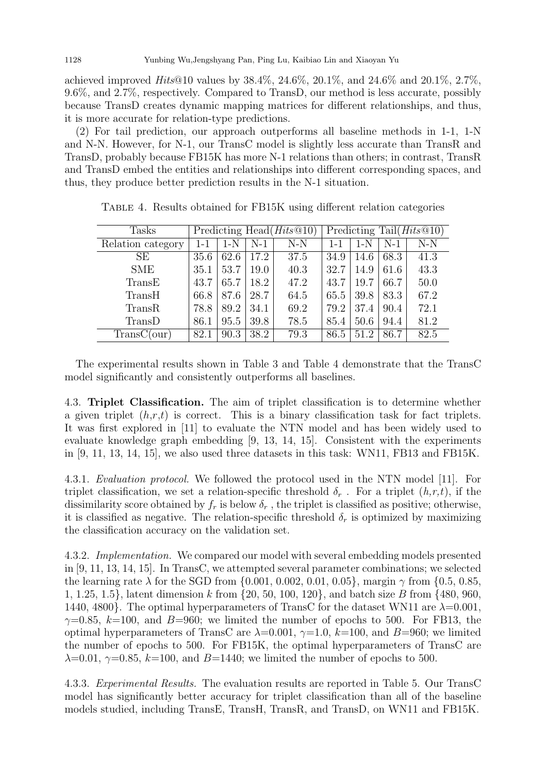achieved improved  $Hits@10$  values by  $38.4\%$ ,  $24.6\%$ ,  $20.1\%$ , and  $24.6\%$  and  $20.1\%$ ,  $2.7\%$ . 9.6%, and 2.7%, respectively. Compared to TransD, our method is less accurate, possibly because TransD creates dynamic mapping matrices for different relationships, and thus, it is more accurate for relation-type predictions.

(2) For tail prediction, our approach outperforms all baseline methods in 1-1, 1-N and N-N. However, for N-1, our TransC model is slightly less accurate than TransR and TransD, probably because FB15K has more N-1 relations than others; in contrast, TransR and TransD embed the entities and relationships into different corresponding spaces, and thus, they produce better prediction results in the N-1 situation.

| Tasks             | Predicting Head $(Hits@10)$ |       |       | Predicting Tail $(Hits@10)$ |         |       |       |       |
|-------------------|-----------------------------|-------|-------|-----------------------------|---------|-------|-------|-------|
| Relation category | $1 - 1$                     | $1-N$ | $N-1$ | $N-N$                       | $1 - 1$ | $1-N$ | $N-1$ | $N-N$ |
| SЕ                | 35.6                        | 62.6  | 17.2  | 37.5                        | 34.9    | 14.6  | 68.3  | 41.3  |
| <b>SME</b>        | 35.1                        | 53.7  | 19.0  | 40.3                        | 32.7    | 14.9  | 61.6  | 43.3  |
| TransE            | 43.7                        | 65.7  | 18.2  | 47.2                        | 43.7    | 19.7  | 66.7  | 50.0  |
| TransH            | 66.8                        | 87.6  | 28.7  | 64.5                        | 65.5    | 39.8  | 83.3  | 67.2  |
| TransR            | 78.8                        | 89.2  | 34.1  | 69.2                        | 79.2    | 37.4  | 90.4  | 72.1  |
| TransD            | 86.1                        | 95.5  | 39.8  | 78.5                        | 85.4    | 50.6  | 94.4  | 81.2  |
| TransC(our)       | 82.1                        | 90.3  | 38.2  | 79.3                        | 86.5    | 51.2  | 86.7  | 82.5  |

Table 4. Results obtained for FB15K using different relation categories

The experimental results shown in Table 3 and Table 4 demonstrate that the TransC model significantly and consistently outperforms all baselines.

4.3. Triplet Classification. The aim of triplet classification is to determine whether a given triplet  $(h,r,t)$  is correct. This is a binary classification task for fact triplets. It was first explored in [11] to evaluate the NTN model and has been widely used to evaluate knowledge graph embedding [9, 13, 14, 15]. Consistent with the experiments in  $[9, 11, 13, 14, 15]$ , we also used three datasets in this task: WN11, FB13 and FB15K.

4.3.1. Evaluation protocol. We followed the protocol used in the NTN model [11]. For triplet classification, we set a relation-specific threshold  $\delta_r$ . For a triplet  $(h,r,t)$ , if the dissimilarity score obtained by  $f_r$  is below  $\delta_r$ , the triplet is classified as positive; otherwise, it is classified as negative. The relation-specific threshold  $\delta_r$  is optimized by maximizing the classification accuracy on the validation set.

4.3.2. Implementation. We compared our model with several embedding models presented in [9, 11, 13, 14, 15]. In TransC, we attempted several parameter combinations; we selected the learning rate  $\lambda$  for the SGD from {0.001, 0.002, 0.01, 0.05}, margin  $\gamma$  from {0.5, 0.85, 1, 1.25, 1.5}, latent dimension k from {20, 50, 100, 120}, and batch size B from {480, 960, 1440, 4800}. The optimal hyperparameters of TransC for the dataset WN11 are  $\lambda=0.001$ ,  $\gamma=0.85$ ,  $k=100$ , and  $B=960$ ; we limited the number of epochs to 500. For FB13, the optimal hyperparameters of TransC are  $\lambda=0.001$ ,  $\gamma=1.0$ ,  $k=100$ , and  $B=960$ ; we limited the number of epochs to 500. For FB15K, the optimal hyperparameters of TransC are  $\lambda=0.01$ ,  $\gamma=0.85$ ,  $k=100$ , and  $B=1440$ ; we limited the number of epochs to 500.

4.3.3. Experimental Results. The evaluation results are reported in Table 5. Our TransC model has significantly better accuracy for triplet classification than all of the baseline models studied, including TransE, TransH, TransR, and TransD, on WN11 and FB15K.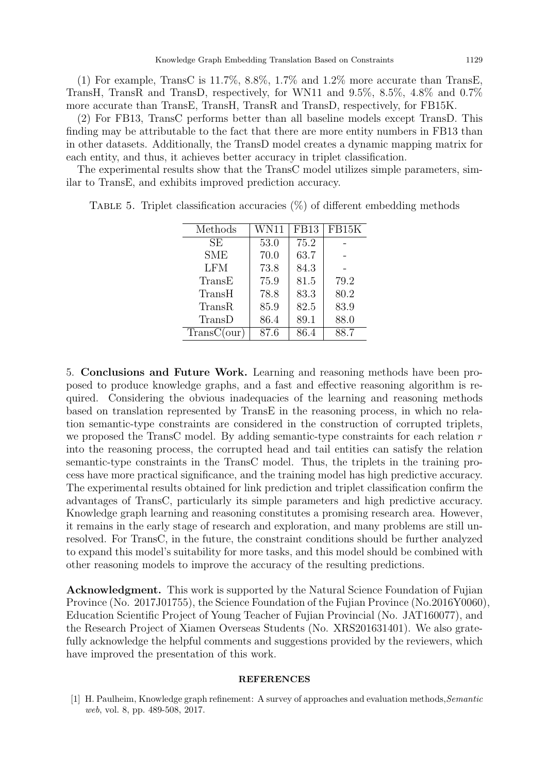(1) For example, TransC is  $11.7\%$ ,  $8.8\%$ ,  $1.7\%$  and  $1.2\%$  more accurate than TransE, TransH, TransR and TransD, respectively, for WN11 and 9.5%, 8.5%, 4.8% and 0.7% more accurate than TransE, TransH, TransR and TransD, respectively, for FB15K.

(2) For FB13, TransC performs better than all baseline models except TransD. This finding may be attributable to the fact that there are more entity numbers in FB13 than in other datasets. Additionally, the TransD model creates a dynamic mapping matrix for each entity, and thus, it achieves better accuracy in triplet classification.

The experimental results show that the TransC model utilizes simple parameters, similar to TransE, and exhibits improved prediction accuracy.

| Methods       | WN11 | <b>FB13</b> | FB15K |
|---------------|------|-------------|-------|
| <b>SE</b>     | 53.0 | 75.2        |       |
| <b>SME</b>    | 70.0 | 63.7        |       |
| <b>LFM</b>    | 73.8 | 84.3        |       |
| TransE        | 75.9 | 81.5        | 79.2  |
| TransH        | 78.8 | 83.3        | 80.2  |
| <b>TransR</b> | 85.9 | 82.5        | 83.9  |
| TransD        | 86.4 | 89.1        | 88.0  |
| TransC(our)   | 87.6 | 86.4        | 88.7  |

TABLE 5. Triplet classification accuracies  $(\%)$  of different embedding methods

5. Conclusions and Future Work. Learning and reasoning methods have been proposed to produce knowledge graphs, and a fast and effective reasoning algorithm is required. Considering the obvious inadequacies of the learning and reasoning methods based on translation represented by TransE in the reasoning process, in which no relation semantic-type constraints are considered in the construction of corrupted triplets, we proposed the TransC model. By adding semantic-type constraints for each relation r into the reasoning process, the corrupted head and tail entities can satisfy the relation semantic-type constraints in the TransC model. Thus, the triplets in the training process have more practical significance, and the training model has high predictive accuracy. The experimental results obtained for link prediction and triplet classification confirm the advantages of TransC, particularly its simple parameters and high predictive accuracy. Knowledge graph learning and reasoning constitutes a promising research area. However, it remains in the early stage of research and exploration, and many problems are still unresolved. For TransC, in the future, the constraint conditions should be further analyzed to expand this model's suitability for more tasks, and this model should be combined with other reasoning models to improve the accuracy of the resulting predictions.

Acknowledgment. This work is supported by the Natural Science Foundation of Fujian Province (No. 2017J01755), the Science Foundation of the Fujian Province (No.2016Y0060), Education Scientific Project of Young Teacher of Fujian Provincial (No. JAT160077), and the Research Project of Xiamen Overseas Students (No. XRS201631401). We also gratefully acknowledge the helpful comments and suggestions provided by the reviewers, which have improved the presentation of this work.

## **REFERENCES**

[1] H. Paulheim, Knowledge graph refinement: A survey of approaches and evaluation methods, Semantic web, vol. 8, pp. 489-508, 2017.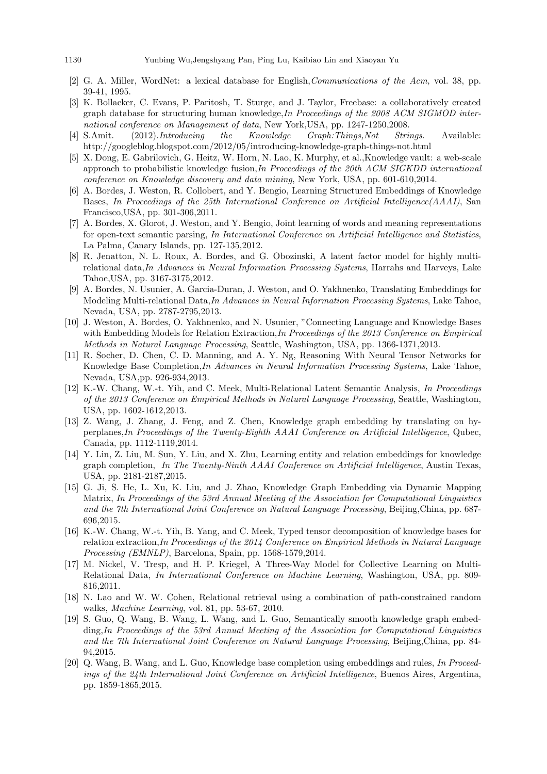- [2] G. A. Miller, WordNet: a lexical database for English,Communications of the Acm, vol. 38, pp. 39-41, 1995.
- [3] K. Bollacker, C. Evans, P. Paritosh, T. Sturge, and J. Taylor, Freebase: a collaboratively created graph database for structuring human knowledge,In Proceedings of the 2008 ACM SIGMOD international conference on Management of data, New York,USA, pp. 1247-1250,2008.
- [4] S.Amit. (2012).*Introducing the Knowledge Graph:Things,Not Strings*. Available: http://googleblog.blogspot.com/2012/05/introducing-knowledge-graph-things-not.html
- [5] X. Dong, E. Gabrilovich, G. Heitz, W. Horn, N. Lao, K. Murphy, et al.,Knowledge vault: a web-scale approach to probabilistic knowledge fusion,In Proceedings of the 20th ACM SIGKDD international conference on Knowledge discovery and data mining, New York, USA, pp. 601-610,2014.
- [6] A. Bordes, J. Weston, R. Collobert, and Y. Bengio, Learning Structured Embeddings of Knowledge Bases, In Proceedings of the 25th International Conference on Artificial Intelligence (AAAI), San Francisco,USA, pp. 301-306,2011.
- [7] A. Bordes, X. Glorot, J. Weston, and Y. Bengio, Joint learning of words and meaning representations for open-text semantic parsing, In International Conference on Artificial Intelligence and Statistics, La Palma, Canary Islands, pp. 127-135,2012.
- [8] R. Jenatton, N. L. Roux, A. Bordes, and G. Obozinski, A latent factor model for highly multirelational data,In Advances in Neural Information Processing Systems, Harrahs and Harveys, Lake Tahoe,USA, pp. 3167-3175,2012.
- [9] A. Bordes, N. Usunier, A. Garcia-Duran, J. Weston, and O. Yakhnenko, Translating Embeddings for Modeling Multi-relational Data,In Advances in Neural Information Processing Systems, Lake Tahoe, Nevada, USA, pp. 2787-2795,2013.
- [10] J. Weston, A. Bordes, O. Yakhnenko, and N. Usunier, "Connecting Language and Knowledge Bases with Embedding Models for Relation Extraction, In Proceedings of the 2013 Conference on Empirical Methods in Natural Language Processing, Seattle, Washington, USA, pp. 1366-1371,2013.
- [11] R. Socher, D. Chen, C. D. Manning, and A. Y. Ng, Reasoning With Neural Tensor Networks for Knowledge Base Completion,In Advances in Neural Information Processing Systems, Lake Tahoe, Nevada, USA,pp. 926-934,2013.
- [12] K.-W. Chang, W.-t. Yih, and C. Meek, Multi-Relational Latent Semantic Analysis, In Proceedings of the 2013 Conference on Empirical Methods in Natural Language Processing, Seattle, Washington, USA, pp. 1602-1612,2013.
- [13] Z. Wang, J. Zhang, J. Feng, and Z. Chen, Knowledge graph embedding by translating on hyperplanes,In Proceedings of the Twenty-Eighth AAAI Conference on Artificial Intelligence, Qubec, Canada, pp. 1112-1119,2014.
- [14] Y. Lin, Z. Liu, M. Sun, Y. Liu, and X. Zhu, Learning entity and relation embeddings for knowledge graph completion, In The Twenty-Ninth AAAI Conference on Artificial Intelligence, Austin Texas, USA, pp. 2181-2187,2015.
- [15] G. Ji, S. He, L. Xu, K. Liu, and J. Zhao, Knowledge Graph Embedding via Dynamic Mapping Matrix, In Proceedings of the 53rd Annual Meeting of the Association for Computational Linguistics and the 7th International Joint Conference on Natural Language Processing, Beijing,China, pp. 687- 696,2015.
- [16] K.-W. Chang, W.-t. Yih, B. Yang, and C. Meek, Typed tensor decomposition of knowledge bases for relation extraction, In Proceedings of the 2014 Conference on Empirical Methods in Natural Language Processing (EMNLP), Barcelona, Spain, pp. 1568-1579,2014.
- [17] M. Nickel, V. Tresp, and H. P. Kriegel, A Three-Way Model for Collective Learning on Multi-Relational Data, In International Conference on Machine Learning, Washington, USA, pp. 809- 816,2011.
- [18] N. Lao and W. W. Cohen, Relational retrieval using a combination of path-constrained random walks, Machine Learning, vol. 81, pp. 53-67, 2010.
- [19] S. Guo, Q. Wang, B. Wang, L. Wang, and L. Guo, Semantically smooth knowledge graph embedding, In Proceedings of the 53rd Annual Meeting of the Association for Computational Linguistics and the 7th International Joint Conference on Natural Language Processing, Beijing,China, pp. 84- 94,2015.
- [20] Q. Wang, B. Wang, and L. Guo, Knowledge base completion using embeddings and rules, In Proceedings of the 24th International Joint Conference on Artificial Intelligence, Buenos Aires, Argentina, pp. 1859-1865,2015.